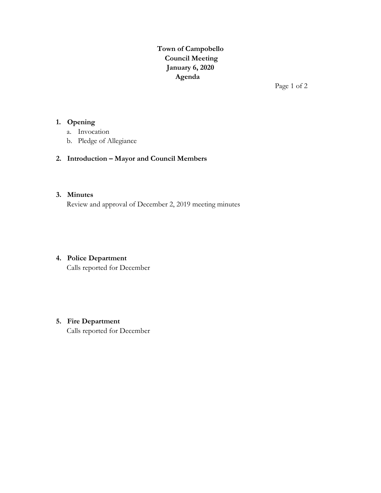**Town of Campobello Council Meeting January 6, 2020 Agenda**

Page 1 of 2

## **1. Opening**

- a. Invocation
- b. Pledge of Allegiance

# **2. Introduction – Mayor and Council Members**

#### **3. Minutes**

Review and approval of December 2, 2019 meeting minutes

# **4. Police Department**

Calls reported for December

# **5. Fire Department**

Calls reported for December